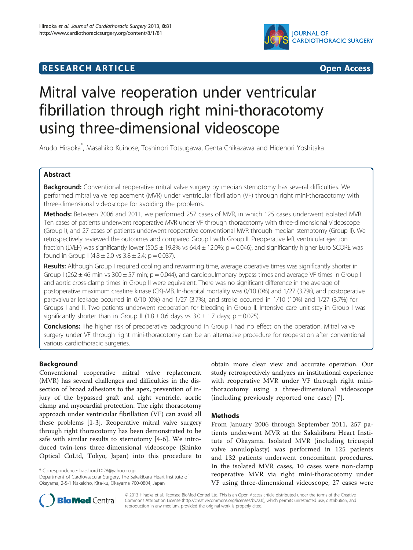## **RESEARCH ARTICLE Example 2008 CONSIDERING CONSIDERING CONSIDERING CONSIDERING CONSIDERING CONSIDERING CONSIDERING CONSIDERING CONSIDERING CONSIDERING CONSIDERING CONSIDERING CONSIDERING CONSIDERING CONSIDERING CONSIDE**



# Mitral valve reoperation under ventricular fibrillation through right mini-thoracotomy using three-dimensional videoscope

Arudo Hiraoka\* , Masahiko Kuinose, Toshinori Totsugawa, Genta Chikazawa and Hidenori Yoshitaka

## Abstract

Background: Conventional reoperative mitral valve surgery by median sternotomy has several difficulties. We performed mitral valve replacement (MVR) under ventricular fibrillation (VF) through right mini-thoracotomy with three-dimensional videoscope for avoiding the problems.

Methods: Between 2006 and 2011, we performed 257 cases of MVR, in which 125 cases underwent isolated MVR. Ten cases of patients underwent reoperative MVR under VF through thoracotomy with three-dimensional videoscope (Group I), and 27 cases of patients underwent reoperative conventional MVR through median sternotomy (Group II). We retrospectively reviewed the outcomes and compared Group I with Group II. Preoperative left ventricular ejection fraction (LVEF) was significantly lower (50.5  $\pm$  19.8% vs 64.4  $\pm$  12.0%; p = 0.046), and significantly higher Euro SCORE was found in Group I (4.8  $\pm$  2.0 vs 3.8  $\pm$  2.4; p = 0.037).

Results: Although Group I required cooling and rewarming time, average operative times was significantly shorter in Group I (262  $\pm$  46 min vs 300  $\pm$  57 min; p = 0.044), and cardiopulmonary bypass times and average VF times in Group I and aortic cross-clamp times in Group II were equivalent. There was no significant difference in the average of postoperative maximum creatine kinase (CK)-MB. In-hospital mortality was 0/10 (0%) and 1/27 (3.7%), and postoperative paravalvular leakage occurred in 0/10 (0%) and 1/27 (3.7%), and stroke occurred in 1/10 (10%) and 1/27 (3.7%) for Groups I and II. Two patients underwent reoperation for bleeding in Group II. Intensive care unit stay in Group I was significantly shorter than in Group II (1.8  $\pm$  0.6 days vs 3.0  $\pm$  1.7 days; p = 0.025).

**Conclusions:** The higher risk of preoperative background in Group I had no effect on the operation. Mitral valve surgery under VF through right mini-thoracotomy can be an alternative procedure for reoperation after conventional various cardiothoracic surgeries.

## Background

Conventional reoperative mitral valve replacement (MVR) has several challenges and difficulties in the dissection of broad adhesions to the apex, prevention of injury of the bypassed graft and right ventricle, aortic clamp and myocardial protection. The right thoracotomy approach under ventricular fibrillation (VF) can avoid all these problems [\[1-3](#page-4-0)]. Reoperative mitral valve surgery through right thoracotomy has been demonstrated to be safe with similar results to sternotomy [\[4-6](#page-4-0)]. We introduced twin-lens three-dimensional videoscope (Shinko Optical CoLtd, Tokyo, Japan) into this procedure to

\* Correspondence: [bassbord1028@yahoo.co.jp](mailto:bassbord1028@yahoo.co.jp)

Department of Cardiovascular Surgery, The Sakakibara Heart Institute of Okayama, 2-5-1 Nakaicho, Kita-ku, Okayama 700-0804, Japan

obtain more clear view and accurate operation. Our study retrospectively analyzes an institutional experience with reoperative MVR under VF through right minithoracotomy using a three-dimensional videoscope (including previously reported one case) [[7](#page-4-0)].

## Methods

From January 2006 through September 2011, 257 patients underwent MVR at the Sakakibara Heart Institute of Okayama. Isolated MVR (including tricuspid valve annuloplasty) was performed in 125 patients and 132 patients underwent concomitant procedures. In the isolated MVR cases, 10 cases were non-clamp reoperative MVR via right mini-thoracotomy under VF using three-dimensional videoscope, 27 cases were



© 2013 Hiraoka et al.; licensee BioMed Central Ltd. This is an Open Access article distributed under the terms of the Creative Commons Attribution License [\(http://creativecommons.org/licenses/by/2.0\)](http://creativecommons.org/licenses/by/2.0), which permits unrestricted use, distribution, and reproduction in any medium, provided the original work is properly cited.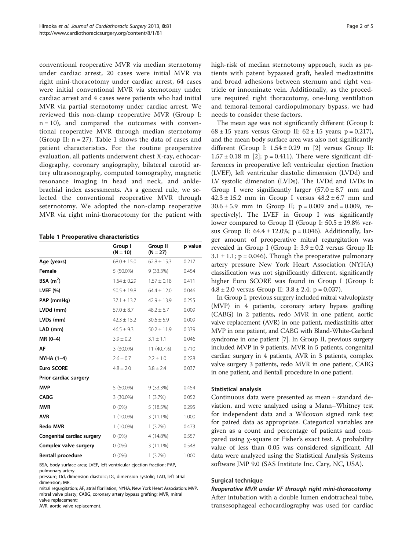conventional reoperative MVR via median sternotomy under cardiac arrest, 20 cases were initial MVR via right mini-thoracotomy under cardiac arrest, 64 cases were initial conventional MVR via sternotomy under cardiac arrest and 4 cases were patients who had initial MVR via partial sternotomy under cardiac arrest. We reviewed this non-clamp reoperative MVR (Group I:  $n = 10$ , and compared the outcomes with conventional reoperative MVR through median sternotomy (Group II:  $n = 27$ ). Table 1 shows the data of cases and patient characteristics. For the routine preoperative evaluation, all patients underwent chest X-ray, echocardiography, coronary angiography, bilateral carotid artery ultrasonography, computed tomography, magnetic resonance imaging in head and neck, and anklebrachial index assessments. As a general rule, we selected the conventional reoperative MVR through seternotomy. We adopted the non-clamp reoperative MVR via right mini-thoracotomy for the patient with

Table 1 Preoperative characteristics

|                            | Group I<br>$(N = 10)$ | Group II<br>$(N = 27)$ | p value |
|----------------------------|-----------------------|------------------------|---------|
| Age (years)                | $68.0 + 15.0$         | $62.8 + 15.3$          | 0.217   |
| Female                     | 5 (50.0%)             | 9 (33.3%)              | 0.454   |
| BSA $(m2)$                 | $1.54 \pm 0.29$       | $1.57 \pm 0.18$        | 0.411   |
| LVEF (%)                   | $50.5 \pm 19.8$       | $64.4 \pm 12.0$        | 0.046   |
| PAP (mmHg)                 | $37.1 + 13.7$         | $42.9 + 13.9$          | 0.255   |
| LVDd (mm)                  | $57.0 \pm 8.7$        | $48.2 \pm 6.7$         | 0.009   |
| LVDs (mm)                  | $42.3 \pm 15.2$       | $30.6 \pm 5.9$         | 0.009   |
| LAD (mm)                   | $46.5 \pm 9.3$        | $50.2 + 11.9$          | 0.339   |
| $MR(0-4)$                  | $3.9 \pm 0.2$         | $3.1 + 1.1$            | 0.046   |
| AF                         | 3 (30.0%)             | 11 (40.7%)             | 0.710   |
| NYHA (1-4)                 | $2.6 + 0.7$           | $2.2 + 1.0$            | 0.228   |
| <b>Euro SCORE</b>          | $4.8 \pm 2.0$         | $3.8 \pm 2.4$          | 0.037   |
| Prior cardiac surgery      |                       |                        |         |
| <b>MVP</b>                 | 5 (50.0%)             | 9 (33.3%)              | 0.454   |
| <b>CABG</b>                | 3 (30.0%)             | 1(3.7%)                | 0.052   |
| <b>MVR</b>                 | $0(0\%)$              | 5(18.5%)               | 0.295   |
| <b>AVR</b>                 | $1(10.0\%)$           | $3(11.1\%)$            | 1.000   |
| <b>Redo MVR</b>            | $1(10.0\%)$           | 1(3.7%)                | 0.473   |
| Congenital cardiac surgery | $0(0\%)$              | 4 (14.8%)              | 0.557   |
| Complex valve surgery      | $0(0\%)$              | $3(11.1\%)$            | 0.548   |
| <b>Bentall procedure</b>   | $0(0\%)$              | 1(3.7%)                | 1.000   |

BSA, body surface area; LVEF, left ventricular ejection fraction; PAP, pulmonary artery.

pressure; Dd, dimension diastolic; Ds, dimension systolic; LAD, left atrial dimension; MR.

AVR, aortic valve replacement.

high-risk of median sternotomy approach, such as patients with patent bypassed graft, healed mediastinitis and broad adhesions between sternum and right ventricle or innominate vein. Additionally, as the procedure required right thoracotomy, one-lung ventilation and femoral-femoral cardiopulmonary bypass, we had needs to consider these factors.

The mean age was not significantly different (Group I:  $68 \pm 15$  years versus Group II:  $62 \pm 15$  years; p = 0.217), and the mean body surface area was also not significantly different (Group I:  $1.54 \pm 0.29$  $1.54 \pm 0.29$  $1.54 \pm 0.29$  m [2] versus Group II:  $1.57 \pm 0.18$  m [\[2](#page-4-0)]; p = 0.411). There were significant differences in preoperative left ventricular ejection fraction (LVEF), left ventricular diastolic dimension (LVDd) and LV systolic dimension (LVDs). The LVDd and LVDs in Group I were significantly larger  $(57.0 \pm 8.7 \text{ mm}$  and  $42.3 \pm 15.2$  mm in Group I versus  $48.2 \pm 6.7$  mm and  $30.6 \pm 5.9$  mm in Group II;  $p = 0.009$  and  $= 0.009$ , respectively). The LVEF in Group I was significantly lower compared to Group II (Group I: 50.5 ± 19.8% versus Group II:  $64.4 \pm 12.0\%$ ; p = 0.046). Additionally, larger amount of preoperative mitral regurgitation was revealed in Group I (Group I:  $3.9 \pm 0.2$  versus Group II:  $3.1 \pm 1.1$ ; p = 0.046). Though the preoperative pulmonary artery pressure New York Heart Association (NYHA) classification was not significantly different, significantly higher Euro SCORE was found in Group I (Group I:  $4.8 \pm 2.0$  versus Group II:  $3.8 \pm 2.4$ ; p = 0.037).

In Group I, previous surgery included mitral valvuloplasty (MVP) in 4 patients, coronary artery bypass grafting (CABG) in 2 patients, redo MVR in one patient, aortic valve replacement (AVR) in one patient, mediastinitis after MVP in one patient, and CABG with Bland-White-Garland syndrome in one patient [\[7](#page-4-0)]. In Group II, previous surgery included MVP in 9 patients, MVR in 5 patients, congenital cardiac surgery in 4 patients, AVR in 3 patients, complex valve surgery 3 patients, redo MVR in one patient, CABG in one patient, and Bentall procedure in one patient.

## Statistical analysis

Continuous data were presented as mean ± standard deviation, and were analyzed using a Mann–Whitney test for independent data and a Wilcoxon signed rank test for paired data as appropriate. Categorical variables are given as a count and percentage of patients and compared using χ-square or Fisher's exact test. A probability value of less than 0.05 was considered significant. All data were analyzed using the Statistical Analysis Systems software JMP 9.0 (SAS Institute Inc. Cary, NC, USA).

#### Surgical technique

Reoperative MVR under VF through right mini-thoracotomy After intubation with a double lumen endotracheal tube, transesophageal echocardiography was used for cardiac

mitral regurgitation; AF, atrial fibrillation; NYHA, New York Heart Association; MVP. mitral valve plasty; CABG, coronary artery bypass grafting; MVR, mitral valve replacement;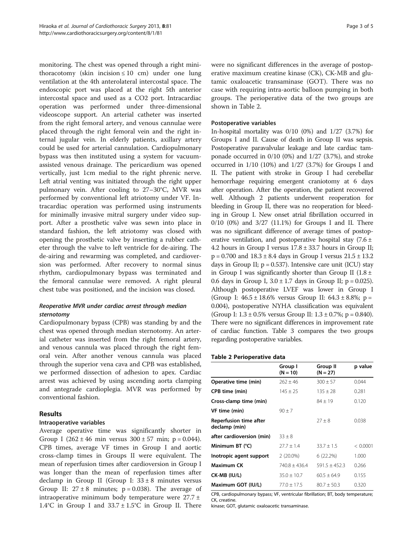monitoring. The chest was opened through a right minithoracotomy (skin incision  $\leq 10$  cm) under one lung ventilation at the 4th anterolateral intercostal space. The endoscopic port was placed at the right 5th anterior intercostal space and used as a CO2 port. Intracardiac operation was performed under three-dimensional videoscope support. An arterial catheter was inserted from the right femoral artery, and venous cannulae were placed through the right femoral vein and the right internal jugular vein. In elderly patients, axillary artery could be used for arterial cannulation. Cardiopulmonary bypass was then instituted using a system for vacuumassisted venous drainage. The pericardium was opened vertically, just 1cm medial to the right phrenic nerve. Left atrial venting was initiated through the right upper pulmonary vein. After cooling to 27–30°C, MVR was performed by conventional left atriotomy under VF. Intracardiac operation was performed using instruments for minimally invasive mitral surgery under video support. After a prosthetic valve was sewn into place in standard fashion, the left atriotomy was closed with opening the prosthetic valve by inserting a rubber catheter through the valve to left ventricle for de-airing. The de-airing and rewarming was completed, and cardioversion was performed. After recovery to normal sinus rhythm, cardiopulmonary bypass was terminated and the femoral cannulae were removed. A right pleural chest tube was positioned, and the incision was closed.

## Reoperative MVR under cardiac arrest through median sternotomy

Cardiopulmonary bypass (CPB) was standing by and the chest was opened through median sternotomy. An arterial catheter was inserted from the right femoral artery, and venous cannula was placed through the right femoral vein. After another venous cannula was placed through the superior vena cava and CPB was established, we performed dissection of adhesion to apex. Cardiac arrest was achieved by using ascending aorta clamping and antegrade cardioplegia. MVR was performed by conventional fashion.

## Results

## Intraoperative variables

Average operative time was significantly shorter in Group I  $(262 \pm 46 \text{ min} \text{ versus } 300 \pm 57 \text{ min}; \text{ p} = 0.044).$ CPB times, average VF times in Group I and aortic cross-clamp times in Groups II were equivalent. The mean of reperfusion times after cardioversion in Group I was longer than the mean of reperfusion times after declamp in Group II (Group I:  $33 \pm 8$  minutes versus Group II:  $27 \pm 8$  minutes;  $p = 0.038$ ). The average of intraoperative minimum body temperature were 27.7 ± 1.4°C in Group I and  $33.7 \pm 1.5$ °C in Group II. There

were no significant differences in the average of postoperative maximum creatine kinase (CK), CK-MB and glutamic oxaloacetic transaminase (GOT). There was no case with requiring intra-aortic balloon pumping in both groups. The perioperative data of the two groups are shown in Table 2.

## Postoperative variables

In-hospital mortality was 0/10 (0%) and 1/27 (3.7%) for Groups I and II. Cause of death in Group II was sepsis. Postoperative paravalvular leakage and late cardiac tamponade occurred in 0/10 (0%) and 1/27 (3.7%), and stroke occurred in 1/10 (10%) and 1/27 (3.7%) for Groups I and II. The patient with stroke in Group I had cerebellar hemorrhage requiring emergent craniotomy at 6 days after operation. After the operation, the patient recovered well. Although 2 patients underwent reoperation for bleeding in Group II, there was no reoperation for bleeding in Group I. New onset atrial fibrillation occurred in 0/10 (0%) and 3/27 (11.1%) for Groups I and II. There was no significant difference of average times of postoperative ventilation, and postoperative hospital stay  $(7.6 \pm 1)$ 4.2 hours in Group I versus 17.8 ± 33.7 hours in Group II;  $p = 0.700$  and  $18.3 \pm 8.4$  days in Group I versus  $21.5 \pm 13.2$ days in Group II;  $p = 0.537$ ). Intensive care unit (ICU) stay in Group I was significantly shorter than Group II ( $1.8 \pm$ 0.6 days in Group I,  $3.0 \pm 1.7$  days in Group II; p = 0.025). Although postoperative LVEF was lower in Group I (Group I:  $46.5 \pm 18.6\%$  versus Group II:  $64.3 \pm 8.8\%$ ; p = 0.004), postoperative NYHA classification was equivalent (Group I:  $1.3 \pm 0.5\%$  versus Group II:  $1.3 \pm 0.7\%$ ; p = 0.840). There were no significant differences in improvement rate of cardiac function. Table [3](#page-3-0) compares the two groups regarding postoperative variables.

## Table 2 Perioperative data

|                                         | Group I<br>$(N = 10)$ | Group II<br>$(N = 27)$ | p value  |
|-----------------------------------------|-----------------------|------------------------|----------|
| Operative time (min)                    | $262 \pm 46$          | $300 \pm 57$           | 0.044    |
| CPB time (min)                          | $145 \pm 25$          | $135 + 28$             | 0.281    |
| Cross-clamp time (min)                  |                       | $84 + 19$              | 0.120    |
| VF time (min)                           | $90 + 7$              |                        |          |
| Reperfusion time after<br>declamp (min) |                       | $27 + 8$               | 0.038    |
| after cardioversion (min)               | $33 + 8$              |                        |          |
| Minimum BT (°C)                         | $27.7 + 1.4$          | $33.7 + 1.5$           | < 0.0001 |
| Inotropic agent support                 | $2(20.0\%)$           | 6(22.2%)               | 1.000    |
| Maximum CK                              | $740.8 + 436.4$       | $591.5 + 452.3$        | 0.266    |
| CK-MB (IU/L)                            | $35.0 + 10.7$         | $60.5 + 64.9$          | 0.155    |
| Maximum GOT (IU/L)                      | $77.0 + 17.5$         | $80.7 + 50.3$          | 0.320    |

CPB, cardiopulmonary bypass; VF, ventricular fibrillation; BT, body temperature; CK, creatine.

kinase; GOT, glutamic oxaloacetic transaminase.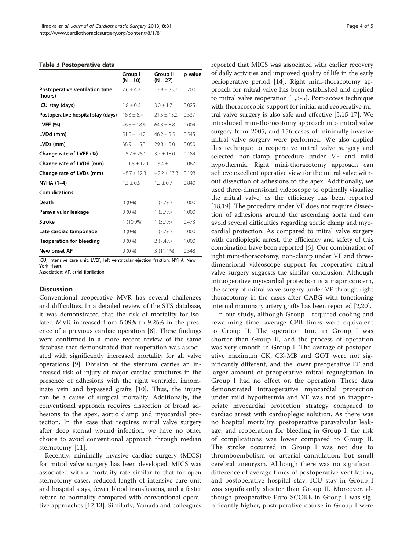#### <span id="page-3-0"></span>Table 3 Postoperative data

|                                           | Group I<br>$(N = 10)$ | <b>Group II</b><br>$(N = 27)$ | p value |
|-------------------------------------------|-----------------------|-------------------------------|---------|
| Postoperative ventilation time<br>(hours) | $7.6 + 4.2$           | $17.8 + 33.7$                 | 0.700   |
| ICU stay (days)                           | $1.8 + 0.6$           | $3.0 + 1.7$                   | 0.025   |
| Postoperative hospital stay (days)        | $18.3 \pm 8.4$        | $21.5 \pm 13.2$               | 0.537   |
| LVEF $(%)$                                | $46.5 \pm 18.6$       | $64.3 \pm 8.8$                | 0.004   |
| LVDd (mm)                                 | $51.0 + 14.2$         | $46.2 + 5.5$                  | 0.545   |
| LVDs (mm)                                 | $38.9 \pm 15.3$       | $29.8 \pm 5.0$                | 0.050   |
| Change rate of LVEF (%)                   | $-8.7 + 28.1$         | $3.7 + 18.0$                  | 0.184   |
| Change rate of LVDd (mm)                  | $-11.8 + 12.1$        | $-3.4 + 11.0$                 | 0.067   |
| Change rate of LVDs (mm)                  | $-8.7 \pm 12.3$       | $-2.2 \pm 13.3$               | 0.198   |
| NYHA (1-4)                                | $1.3 + 0.5$           | $1.3 + 0.7$                   | 0.840   |
| <b>Complications</b>                      |                       |                               |         |
| Death                                     | $0(0\%)$              | 1(3.7%)                       | 1.000   |
| Paravalvular leakage                      | $0(0\%)$              | 1(3.7%)                       | 1.000   |
| <b>Stroke</b>                             | $1(10.0\%)$           | 1(3.7%)                       | 0.473   |
| Late cardiac tamponade                    | $0(0\%)$              | 1(3.7%)                       | 1.000   |
| <b>Reoperation for bleeding</b>           | $0(0\%)$              | 2(7.4%)                       | 1.000   |
| <b>New onset AF</b>                       | $0(0\%)$              | 3 (11.1%)                     | 0.548   |

ICU, intensive care unit; LVEF, left ventricular ejection fraction; NYHA, New York Heart.

Association; AF, atrial fibrillation.

#### **Discussion**

Conventional reoperative MVR has several challenges and difficulties. In a detailed review of the STS database, it was demonstrated that the risk of mortality for isolated MVR increased from 5.09% to 9.25% in the presence of a previous cardiac operation [[8\]](#page-4-0). These findings were confirmed in a more recent review of the same database that demonstrated that reoperation was associated with significantly increased mortality for all valve operations [[9\]](#page-4-0). Division of the sternum carries an increased risk of injury of major cardiac structures in the presence of adhesions with the right ventricle, innominate vein and bypassed grafts [[10\]](#page-4-0). Thus, the injury can be a cause of surgical mortality. Additionally, the conventional approach requires dissection of broad adhesions to the apex, aortic clamp and myocardial protection. In the case that requires mitral valve surgery after deep sternal wound infection, we have no other choice to avoid conventional approach through median sternotomy [\[11](#page-4-0)].

Recently, minimally invasive cardiac surgery (MICS) for mitral valve surgery has been developed. MICS was associated with a mortality rate similar to that for open sternotomy cases, reduced length of intensive care unit and hospital stays, fewer blood transfusions, and a faster return to normality compared with conventional operative approaches [[12,13\]](#page-4-0). Similarly, Yamada and colleagues

reported that MICS was associated with earlier recovery of daily activities and improved quality of life in the early perioperative period [\[14\]](#page-4-0). Right mini-thoracotomy approach for mitral valve has been established and applied to mitral valve reoperation [\[1,3](#page-4-0)-[5\]](#page-4-0). Port-access technique with thoracoscopic support for initial and reoperative mitral valve surgery is also safe and effective [\[5,15](#page-4-0)-[17\]](#page-4-0). We introduced mini-thorocotomy approach into mitral valve surgery from 2005, and 156 cases of minimally invasive mitral valve surgery were performed. We also applied this technique to reoperative mitral valve surgery and selected non-clamp procedure under VF and mild hypothermia. Right mini-thoracotomy approach can achieve excellent operative view for the mitral valve without dissection of adhesions to the apex. Additionally, we used three-dimensional videoscope to optimally visualize the mitral valve, as the efficiency has been reported [[18,19\]](#page-4-0). The procedure under VF does not require dissection of adhesions around the ascending aorta and can avoid several difficulties regarding aortic clamp and myocardial protection. As compared to mitral valve surgery with cardioplegic arrest, the efficiency and safety of this combination have been reported [[6](#page-4-0)]. Our combination of right mini-thoracotomy, non-clamp under VF and threedimensional videoscope support for reoperative mitral valve surgery suggests the similar conclusion. Although intraoperative myocardial protection is a major concern, the safety of mitral valve surgery under VF through right thoracotomy in the cases after CABG with functioning internal mammary artery grafts has been reported [[2,20\]](#page-4-0).

In our study, although Group I required cooling and rewarming time, average CPB times were equivalent to Group II. The operation time in Group I was shorter than Group II, and the process of operation was very smooth in Group I. The average of postoperative maximum CK, CK-MB and GOT were not significantly different, and the lower preoperative EF and larger amount of preoperative mitral regurgitation in Group I had no effect on the operation. These data demonstrated intraoperative myocardial protection under mild hypothermia and VF was not an inappropriate myocardial protection strategy compared to cardiac arrest with cardioplegic solution. As there was no hospital mortality, postoperative paravalvular leakage, and reoperation for bleeding in Group I, the risk of complications was lower compared to Group II. The stroke occurred in Group I was not due to thromboembolism or arterial cannulation, but small cerebral aneurysm. Although there was no significant difference of average times of postoperative ventilation, and postoperative hospital stay, ICU stay in Group I was significantly shorter than Group II. Moreover, although preoperative Euro SCORE in Group I was significantly higher, postoperative course in Group I were